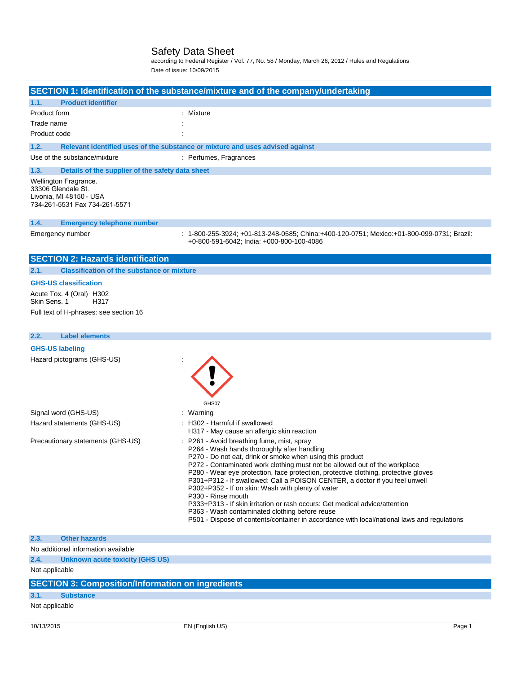according to Federal Register / Vol. 77, No. 58 / Monday, March 26, 2012 / Rules and Regulations Date of issue: 10/09/2015

|                                                                                                         | SECTION 1: Identification of the substance/mixture and of the company/undertaking                                                                                                                                                                                                                                                                                                                                                                                                                                                                                                                                                                                                                                                                                 |
|---------------------------------------------------------------------------------------------------------|-------------------------------------------------------------------------------------------------------------------------------------------------------------------------------------------------------------------------------------------------------------------------------------------------------------------------------------------------------------------------------------------------------------------------------------------------------------------------------------------------------------------------------------------------------------------------------------------------------------------------------------------------------------------------------------------------------------------------------------------------------------------|
| 1.1.<br><b>Product identifier</b>                                                                       |                                                                                                                                                                                                                                                                                                                                                                                                                                                                                                                                                                                                                                                                                                                                                                   |
| Product form                                                                                            | Mixture                                                                                                                                                                                                                                                                                                                                                                                                                                                                                                                                                                                                                                                                                                                                                           |
| Trade name                                                                                              |                                                                                                                                                                                                                                                                                                                                                                                                                                                                                                                                                                                                                                                                                                                                                                   |
| Product code                                                                                            |                                                                                                                                                                                                                                                                                                                                                                                                                                                                                                                                                                                                                                                                                                                                                                   |
| 1.2.                                                                                                    | Relevant identified uses of the substance or mixture and uses advised against                                                                                                                                                                                                                                                                                                                                                                                                                                                                                                                                                                                                                                                                                     |
| Use of the substance/mixture                                                                            | : Perfumes, Fragrances                                                                                                                                                                                                                                                                                                                                                                                                                                                                                                                                                                                                                                                                                                                                            |
| 1.3.<br>Details of the supplier of the safety data sheet                                                |                                                                                                                                                                                                                                                                                                                                                                                                                                                                                                                                                                                                                                                                                                                                                                   |
| Wellington Fragrance.<br>33306 Glendale St.<br>Livonia, MI 48150 - USA<br>734-261-5531 Fax 734-261-5571 |                                                                                                                                                                                                                                                                                                                                                                                                                                                                                                                                                                                                                                                                                                                                                                   |
| 1.4.<br><b>Emergency telephone number</b>                                                               |                                                                                                                                                                                                                                                                                                                                                                                                                                                                                                                                                                                                                                                                                                                                                                   |
| Emergency number                                                                                        | : 1-800-255-3924; +01-813-248-0585; China:+400-120-0751; Mexico:+01-800-099-0731; Brazil:<br>+0-800-591-6042; India: +000-800-100-4086                                                                                                                                                                                                                                                                                                                                                                                                                                                                                                                                                                                                                            |
| <b>SECTION 2: Hazards identification</b>                                                                |                                                                                                                                                                                                                                                                                                                                                                                                                                                                                                                                                                                                                                                                                                                                                                   |
| 2.1.<br><b>Classification of the substance or mixture</b>                                               |                                                                                                                                                                                                                                                                                                                                                                                                                                                                                                                                                                                                                                                                                                                                                                   |
| <b>GHS-US classification</b>                                                                            |                                                                                                                                                                                                                                                                                                                                                                                                                                                                                                                                                                                                                                                                                                                                                                   |
| Acute Tox. 4 (Oral) H302<br>Skin Sens. 1<br>H317                                                        |                                                                                                                                                                                                                                                                                                                                                                                                                                                                                                                                                                                                                                                                                                                                                                   |
| Full text of H-phrases: see section 16                                                                  |                                                                                                                                                                                                                                                                                                                                                                                                                                                                                                                                                                                                                                                                                                                                                                   |
|                                                                                                         |                                                                                                                                                                                                                                                                                                                                                                                                                                                                                                                                                                                                                                                                                                                                                                   |
| 2.2.<br><b>Label elements</b>                                                                           |                                                                                                                                                                                                                                                                                                                                                                                                                                                                                                                                                                                                                                                                                                                                                                   |
| <b>GHS-US labeling</b>                                                                                  |                                                                                                                                                                                                                                                                                                                                                                                                                                                                                                                                                                                                                                                                                                                                                                   |
| Hazard pictograms (GHS-US)                                                                              | GHS07                                                                                                                                                                                                                                                                                                                                                                                                                                                                                                                                                                                                                                                                                                                                                             |
| Signal word (GHS-US)                                                                                    | : Warning                                                                                                                                                                                                                                                                                                                                                                                                                                                                                                                                                                                                                                                                                                                                                         |
| Hazard statements (GHS-US)                                                                              | H302 - Harmful if swallowed                                                                                                                                                                                                                                                                                                                                                                                                                                                                                                                                                                                                                                                                                                                                       |
| Precautionary statements (GHS-US)                                                                       | H317 - May cause an allergic skin reaction<br>P261 - Avoid breathing fume, mist, spray<br>P264 - Wash hands thoroughly after handling<br>P270 - Do not eat, drink or smoke when using this product<br>P272 - Contaminated work clothing must not be allowed out of the workplace<br>P280 - Wear eye protection, face protection, protective clothing, protective gloves<br>P301+P312 - If swallowed: Call a POISON CENTER, a doctor if you feel unwell<br>P302+P352 - If on skin: Wash with plenty of water<br>P330 - Rinse mouth<br>P333+P313 - If skin irritation or rash occurs: Get medical advice/attention<br>P363 - Wash contaminated clothing before reuse<br>P501 - Dispose of contents/container in accordance with local/national laws and regulations |
| 2.3.<br><b>Other hazards</b>                                                                            |                                                                                                                                                                                                                                                                                                                                                                                                                                                                                                                                                                                                                                                                                                                                                                   |
| No additional information available                                                                     |                                                                                                                                                                                                                                                                                                                                                                                                                                                                                                                                                                                                                                                                                                                                                                   |
| 2.4.<br><b>Unknown acute toxicity (GHS US)</b>                                                          |                                                                                                                                                                                                                                                                                                                                                                                                                                                                                                                                                                                                                                                                                                                                                                   |
| Not applicable                                                                                          |                                                                                                                                                                                                                                                                                                                                                                                                                                                                                                                                                                                                                                                                                                                                                                   |

# **SECTION 3: Composition/Information on ingredients**

# **3.1. Substance**

# Not applicable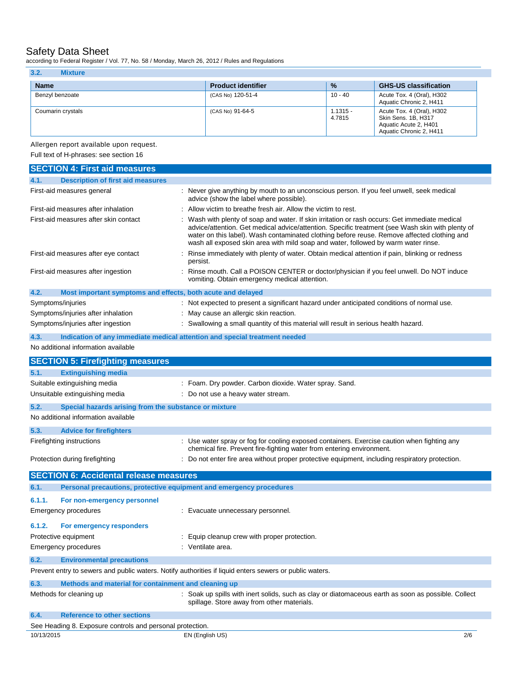according to Federal Register / Vol. 77, No. 58 / Monday, March 26, 2012 / Rules and Regulations

| 3.2.<br><b>Mixture</b> |                           |                      |                                                                                                      |
|------------------------|---------------------------|----------------------|------------------------------------------------------------------------------------------------------|
| <b>Name</b>            | <b>Product identifier</b> | $\frac{9}{6}$        | <b>GHS-US classification</b>                                                                         |
| Benzyl benzoate        | (CAS No) 120-51-4         | $10 - 40$            | Acute Tox. 4 (Oral), H302<br>Aquatic Chronic 2, H411                                                 |
| Coumarin crystals      | (CAS No) 91-64-5          | $1.1315 -$<br>4.7815 | Acute Tox. 4 (Oral), H302<br>Skin Sens, 1B, H317<br>Aquatic Acute 2, H401<br>Aquatic Chronic 2, H411 |

Allergen report available upon request.

Full text of H-phrases: see section 16

| <b>SECTION 4: First aid measures</b>                                                                    |                                                                                                                                                                                                                                                                                                                                                                                       |  |
|---------------------------------------------------------------------------------------------------------|---------------------------------------------------------------------------------------------------------------------------------------------------------------------------------------------------------------------------------------------------------------------------------------------------------------------------------------------------------------------------------------|--|
| <b>Description of first aid measures</b><br>4.1.                                                        |                                                                                                                                                                                                                                                                                                                                                                                       |  |
| First-aid measures general                                                                              | Never give anything by mouth to an unconscious person. If you feel unwell, seek medical<br>advice (show the label where possible).                                                                                                                                                                                                                                                    |  |
| First-aid measures after inhalation                                                                     | Allow victim to breathe fresh air. Allow the victim to rest.                                                                                                                                                                                                                                                                                                                          |  |
| First-aid measures after skin contact                                                                   | Wash with plenty of soap and water. If skin irritation or rash occurs: Get immediate medical<br>advice/attention. Get medical advice/attention. Specific treatment (see Wash skin with plenty of<br>water on this label). Wash contaminated clothing before reuse. Remove affected clothing and<br>wash all exposed skin area with mild soap and water, followed by warm water rinse. |  |
| First-aid measures after eye contact                                                                    | Rinse immediately with plenty of water. Obtain medical attention if pain, blinking or redness<br>persist.                                                                                                                                                                                                                                                                             |  |
| First-aid measures after ingestion                                                                      | Rinse mouth. Call a POISON CENTER or doctor/physician if you feel unwell. Do NOT induce<br>vomiting. Obtain emergency medical attention.                                                                                                                                                                                                                                              |  |
| Most important symptoms and effects, both acute and delayed<br>4.2.                                     |                                                                                                                                                                                                                                                                                                                                                                                       |  |
| Symptoms/injuries                                                                                       | Not expected to present a significant hazard under anticipated conditions of normal use.                                                                                                                                                                                                                                                                                              |  |
| Symptoms/injuries after inhalation                                                                      | May cause an allergic skin reaction.                                                                                                                                                                                                                                                                                                                                                  |  |
| Symptoms/injuries after ingestion                                                                       | Swallowing a small quantity of this material will result in serious health hazard.                                                                                                                                                                                                                                                                                                    |  |
| 4.3.                                                                                                    | Indication of any immediate medical attention and special treatment needed                                                                                                                                                                                                                                                                                                            |  |
| No additional information available                                                                     |                                                                                                                                                                                                                                                                                                                                                                                       |  |
| <b>SECTION 5: Firefighting measures</b>                                                                 |                                                                                                                                                                                                                                                                                                                                                                                       |  |
| <b>Extinguishing media</b><br>5.1.                                                                      |                                                                                                                                                                                                                                                                                                                                                                                       |  |
| Suitable extinguishing media                                                                            | : Foam. Dry powder. Carbon dioxide. Water spray. Sand.                                                                                                                                                                                                                                                                                                                                |  |
| Unsuitable extinguishing media                                                                          | : Do not use a heavy water stream.                                                                                                                                                                                                                                                                                                                                                    |  |
|                                                                                                         |                                                                                                                                                                                                                                                                                                                                                                                       |  |
| Special hazards arising from the substance or mixture<br>5.2.                                           |                                                                                                                                                                                                                                                                                                                                                                                       |  |
| No additional information available                                                                     |                                                                                                                                                                                                                                                                                                                                                                                       |  |
| 5.3.<br><b>Advice for firefighters</b>                                                                  |                                                                                                                                                                                                                                                                                                                                                                                       |  |
| Firefighting instructions                                                                               | Use water spray or fog for cooling exposed containers. Exercise caution when fighting any<br>chemical fire. Prevent fire-fighting water from entering environment.                                                                                                                                                                                                                    |  |
| Protection during firefighting                                                                          | Do not enter fire area without proper protective equipment, including respiratory protection.                                                                                                                                                                                                                                                                                         |  |
| <b>SECTION 6: Accidental release measures</b>                                                           |                                                                                                                                                                                                                                                                                                                                                                                       |  |
| 6.1.<br>Personal precautions, protective equipment and emergency procedures                             |                                                                                                                                                                                                                                                                                                                                                                                       |  |
| 6.1.1.<br>For non-emergency personnel                                                                   |                                                                                                                                                                                                                                                                                                                                                                                       |  |
| <b>Emergency procedures</b>                                                                             | : Evacuate unnecessary personnel.                                                                                                                                                                                                                                                                                                                                                     |  |
|                                                                                                         |                                                                                                                                                                                                                                                                                                                                                                                       |  |
| 6.1.2.<br>For emergency responders                                                                      |                                                                                                                                                                                                                                                                                                                                                                                       |  |
| Protective equipment                                                                                    | : Equip cleanup crew with proper protection.                                                                                                                                                                                                                                                                                                                                          |  |
| Emergency procedures                                                                                    | : Ventilate area.                                                                                                                                                                                                                                                                                                                                                                     |  |
| 6.2.<br><b>Environmental precautions</b>                                                                |                                                                                                                                                                                                                                                                                                                                                                                       |  |
| Prevent entry to sewers and public waters. Notify authorities if liquid enters sewers or public waters. |                                                                                                                                                                                                                                                                                                                                                                                       |  |
| Methods and material for containment and cleaning up<br>6.3.                                            |                                                                                                                                                                                                                                                                                                                                                                                       |  |
| Methods for cleaning up                                                                                 | : Soak up spills with inert solids, such as clay or diatomaceous earth as soon as possible. Collect<br>spillage. Store away from other materials.                                                                                                                                                                                                                                     |  |
| 6.4.<br><b>Reference to other sections</b>                                                              |                                                                                                                                                                                                                                                                                                                                                                                       |  |
| See Heading 8. Exposure controls and personal protection.                                               |                                                                                                                                                                                                                                                                                                                                                                                       |  |
| 10/13/2015                                                                                              | 2/6<br>EN (English US)                                                                                                                                                                                                                                                                                                                                                                |  |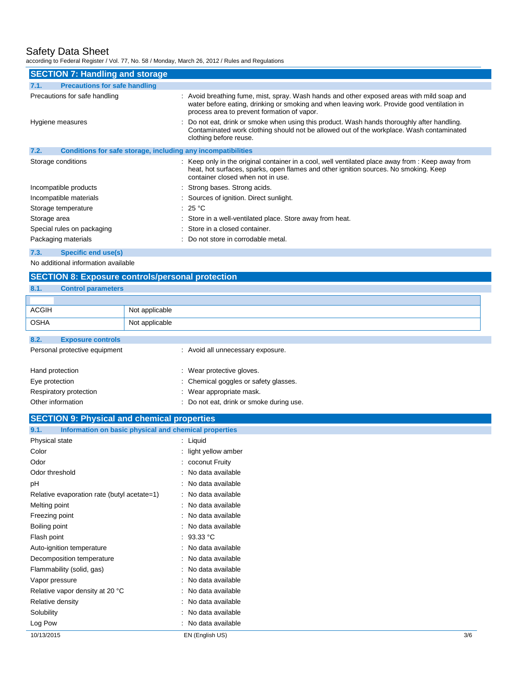according to Federal Register / Vol. 77, No. 58 / Monday, March 26, 2012 / Rules and Regulations

| <b>SECTION 7: Handling and storage</b>                               |                                                                                                                                                                                                                                          |  |  |
|----------------------------------------------------------------------|------------------------------------------------------------------------------------------------------------------------------------------------------------------------------------------------------------------------------------------|--|--|
| <b>Precautions for safe handling</b><br>7.1.                         |                                                                                                                                                                                                                                          |  |  |
| Precautions for safe handling                                        | : Avoid breathing fume, mist, spray. Wash hands and other exposed areas with mild soap and<br>water before eating, drinking or smoking and when leaving work. Provide good ventilation in<br>process area to prevent formation of vapor. |  |  |
| Hygiene measures                                                     | : Do not eat, drink or smoke when using this product. Wash hands thoroughly after handling.<br>Contaminated work clothing should not be allowed out of the workplace. Wash contaminated<br>clothing before reuse.                        |  |  |
| 7.2.<br>Conditions for safe storage, including any incompatibilities |                                                                                                                                                                                                                                          |  |  |
| Storage conditions                                                   | : Keep only in the original container in a cool, well ventilated place away from : Keep away from<br>heat, hot surfaces, sparks, open flames and other ignition sources. No smoking. Keep<br>container closed when not in use.           |  |  |
| Incompatible products                                                | : Strong bases. Strong acids.                                                                                                                                                                                                            |  |  |
| Incompatible materials                                               | : Sources of ignition. Direct sunlight.                                                                                                                                                                                                  |  |  |
| Storage temperature                                                  | : 25 $^{\circ}$ C                                                                                                                                                                                                                        |  |  |
| Storage area                                                         | : Store in a well-ventilated place. Store away from heat.                                                                                                                                                                                |  |  |
| Special rules on packaging                                           | : Store in a closed container.                                                                                                                                                                                                           |  |  |
| Packaging materials                                                  | : Do not store in corrodable metal.                                                                                                                                                                                                      |  |  |
| <b>Specific end use(s)</b><br>7.3.                                   |                                                                                                                                                                                                                                          |  |  |

No additional information available

# **SECTION 8: Exposure controls/personal protection**

Log Pow : No data available

# **8.1. Control parameters** ACGIH Not applicable OSHA Not applicable **8.2. Exposure controls** Personal protective equipment : Avoid all unnecessary exposure. Hand protection **in the case of the contract of the contract of the Hand protective gloves.** Eye protection **in the contract of the Chemical goggles or safety glasses.** Respiratory protection **in the set of the COV** Mear appropriate mask. Other information **Other information** : Do not eat, drink or smoke during use. **SECTION 9: Physical and chemical properties 9.1. Information on basic physical and chemical properties** Physical state : Liquid Color : light yellow amber Odor : coconut Fruity Odor threshold : No data available pH : No data available Relative evaporation rate (butyl acetate=1) : No data available Melting point **in the case of the case of the case of the case of the case of the case of the case of the case of the case of the case of the case of the case of the case of the case of the case of the case of the case of** Freezing point **in the case of the case of the case of the case of the case of the case of the case of the case of the case of the case of the case of the case of the case of the case of the case of the case of the case of** Boiling point **in the case of the case of the case of the case of the case of the case of the case of the case of the case of the case of the case of the case of the case of the case of the case of the case of the case of** Flash point : 93.33 °C Auto-ignition temperature **interest and the Contract Auto-** : No data available Decomposition temperature : No data available Flammability (solid, gas) : No data available Vapor pressure in the set of the set of the No data available Relative vapor density at 20 °C : No data available Relative density **in the case of the COV** Relative density **in the case of the COV** Relative density Solubility : No data available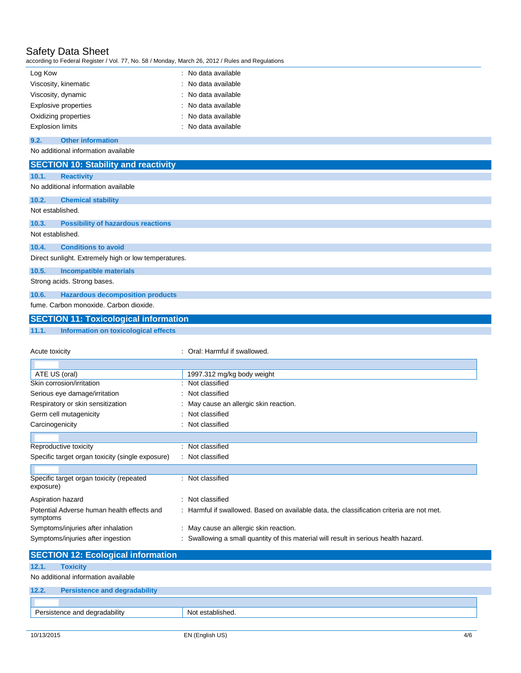according to Federal Register / Vol. 77, No. 58 / Monday, March 26, 2012 / Rules and Regulations

| according to Federal Register / Vol. 77, No. 58 / Monday, March 26, 2012 / Rules and Regulations     |                                                                                           |
|------------------------------------------------------------------------------------------------------|-------------------------------------------------------------------------------------------|
| Log Kow                                                                                              | : No data available                                                                       |
| Viscosity, kinematic                                                                                 | No data available                                                                         |
| Viscosity, dynamic                                                                                   | No data available                                                                         |
| <b>Explosive properties</b>                                                                          | No data available                                                                         |
| Oxidizing properties                                                                                 | No data available                                                                         |
| <b>Explosion limits</b>                                                                              | No data available                                                                         |
| <b>Other information</b><br>9.2.                                                                     |                                                                                           |
| No additional information available                                                                  |                                                                                           |
|                                                                                                      |                                                                                           |
| <b>SECTION 10: Stability and reactivity</b>                                                          |                                                                                           |
| 10.1.<br><b>Reactivity</b>                                                                           |                                                                                           |
| No additional information available                                                                  |                                                                                           |
| 10.2.<br><b>Chemical stability</b>                                                                   |                                                                                           |
| Not established.                                                                                     |                                                                                           |
| 10.3.<br><b>Possibility of hazardous reactions</b>                                                   |                                                                                           |
| Not established.                                                                                     |                                                                                           |
| 10.4.<br><b>Conditions to avoid</b>                                                                  |                                                                                           |
| Direct sunlight. Extremely high or low temperatures.                                                 |                                                                                           |
|                                                                                                      |                                                                                           |
| 10.5.<br><b>Incompatible materials</b>                                                               |                                                                                           |
| Strong acids. Strong bases.                                                                          |                                                                                           |
| 10.6.<br><b>Hazardous decomposition products</b>                                                     |                                                                                           |
| fume. Carbon monoxide. Carbon dioxide.                                                               |                                                                                           |
|                                                                                                      |                                                                                           |
|                                                                                                      |                                                                                           |
| <b>SECTION 11: Toxicological information</b><br><b>Information on toxicological effects</b><br>11.1. |                                                                                           |
|                                                                                                      |                                                                                           |
| Acute toxicity                                                                                       | : Oral: Harmful if swallowed.                                                             |
|                                                                                                      |                                                                                           |
|                                                                                                      |                                                                                           |
| ATE US (oral)<br>Skin corrosion/irritation                                                           | 1997.312 mg/kg body weight<br>: Not classified                                            |
|                                                                                                      | Not classified                                                                            |
| Serious eye damage/irritation                                                                        |                                                                                           |
| Respiratory or skin sensitization                                                                    | May cause an allergic skin reaction.<br>Not classified                                    |
| Germ cell mutagenicity                                                                               | : Not classified                                                                          |
| Carcinogenicity                                                                                      |                                                                                           |
|                                                                                                      |                                                                                           |
| Reproductive toxicity                                                                                | Not classified                                                                            |
| Specific target organ toxicity (single exposure)                                                     | Not classified                                                                            |
|                                                                                                      |                                                                                           |
| Specific target organ toxicity (repeated<br>exposure)                                                | : Not classified                                                                          |
|                                                                                                      |                                                                                           |
| Aspiration hazard                                                                                    | : Not classified                                                                          |
| Potential Adverse human health effects and                                                           | : Harmful if swallowed. Based on available data, the classification criteria are not met. |
| symptoms                                                                                             |                                                                                           |
| Symptoms/injuries after inhalation                                                                   | : May cause an allergic skin reaction.                                                    |
| Symptoms/injuries after ingestion                                                                    | : Swallowing a small quantity of this material will result in serious health hazard.      |
| <b>SECTION 12: Ecological information</b>                                                            |                                                                                           |

No additional information available

|                               | <b>Persistence and degradability</b> |                  |
|-------------------------------|--------------------------------------|------------------|
|                               |                                      |                  |
| Persistence and degradability |                                      | Not established. |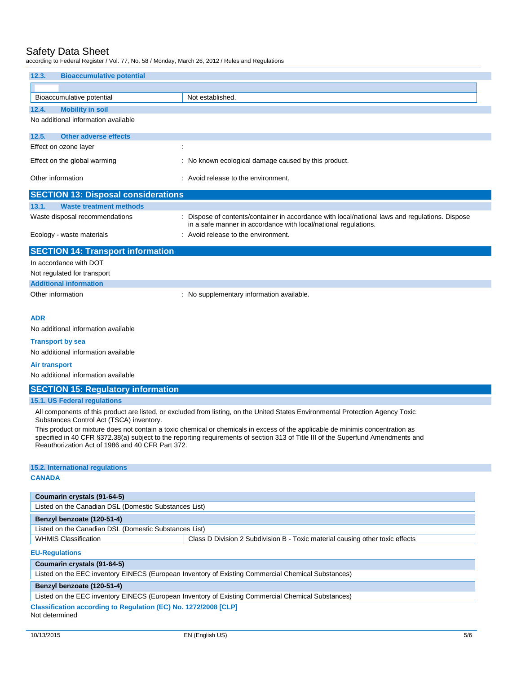according to Federal Register / Vol. 77, No. 58 / Monday, March 26, 2012 / Rules and Regulations

| 12.3.      | <b>Bioaccumulative potential</b>           |                                                                                                                                                                  |  |  |
|------------|--------------------------------------------|------------------------------------------------------------------------------------------------------------------------------------------------------------------|--|--|
|            |                                            |                                                                                                                                                                  |  |  |
|            | Bioaccumulative potential                  | Not established.                                                                                                                                                 |  |  |
| 12.4.      | <b>Mobility in soil</b>                    |                                                                                                                                                                  |  |  |
|            | No additional information available        |                                                                                                                                                                  |  |  |
| 12.5.      | <b>Other adverse effects</b>               |                                                                                                                                                                  |  |  |
|            | Effect on ozone layer                      | ÷                                                                                                                                                                |  |  |
|            | Effect on the global warming               | : No known ecological damage caused by this product.                                                                                                             |  |  |
|            | Other information                          | Avoid release to the environment.                                                                                                                                |  |  |
|            | <b>SECTION 13: Disposal considerations</b> |                                                                                                                                                                  |  |  |
| 13.1.      | <b>Waste treatment methods</b>             |                                                                                                                                                                  |  |  |
|            | Waste disposal recommendations             | Dispose of contents/container in accordance with local/national laws and regulations. Dispose<br>in a safe manner in accordance with local/national regulations. |  |  |
|            | Ecology - waste materials                  | Avoid release to the environment.                                                                                                                                |  |  |
|            | <b>SECTION 14: Transport information</b>   |                                                                                                                                                                  |  |  |
|            | In accordance with DOT                     |                                                                                                                                                                  |  |  |
|            | Not regulated for transport                |                                                                                                                                                                  |  |  |
|            | <b>Additional information</b>              |                                                                                                                                                                  |  |  |
|            | Other information                          | : No supplementary information available.                                                                                                                        |  |  |
| <b>ADR</b> |                                            |                                                                                                                                                                  |  |  |

No additional information available

### **Transport by sea**

No additional information available

### **Air transport**

No additional information available

### **SECTION 15: Regulatory information**

### **15.1. US Federal regulations**

All components of this product are listed, or excluded from listing, on the United States Environmental Protection Agency Toxic Substances Control Act (TSCA) inventory.

This product or mixture does not contain a toxic chemical or chemicals in excess of the applicable de minimis concentration as specified in 40 CFR §372.38(a) subject to the reporting requirements of section 313 of Title III of the Superfund Amendments and Reauthorization Act of 1986 and 40 CFR Part 372.

### **15.2. International regulations**

### **CANADA**

| Coumarin crystals (91-64-5)                           |                                                                               |  |
|-------------------------------------------------------|-------------------------------------------------------------------------------|--|
| Listed on the Canadian DSL (Domestic Substances List) |                                                                               |  |
| Benzyl benzoate (120-51-4)                            |                                                                               |  |
| Listed on the Canadian DSL (Domestic Substances List) |                                                                               |  |
| <b>WHMIS Classification</b>                           | Class D Division 2 Subdivision B - Toxic material causing other toxic effects |  |

### **EU-Regulations**

## **Coumarin crystals (91-64-5)**

Listed on the EEC inventory EINECS (European Inventory of Existing Commercial Chemical Substances)

### **Benzyl benzoate (120-51-4)**

### Listed on the EEC inventory EINECS (European Inventory of Existing Commercial Chemical Substances)

**Classification according to Regulation (EC) No. 1272/2008 [CLP]** Not determined